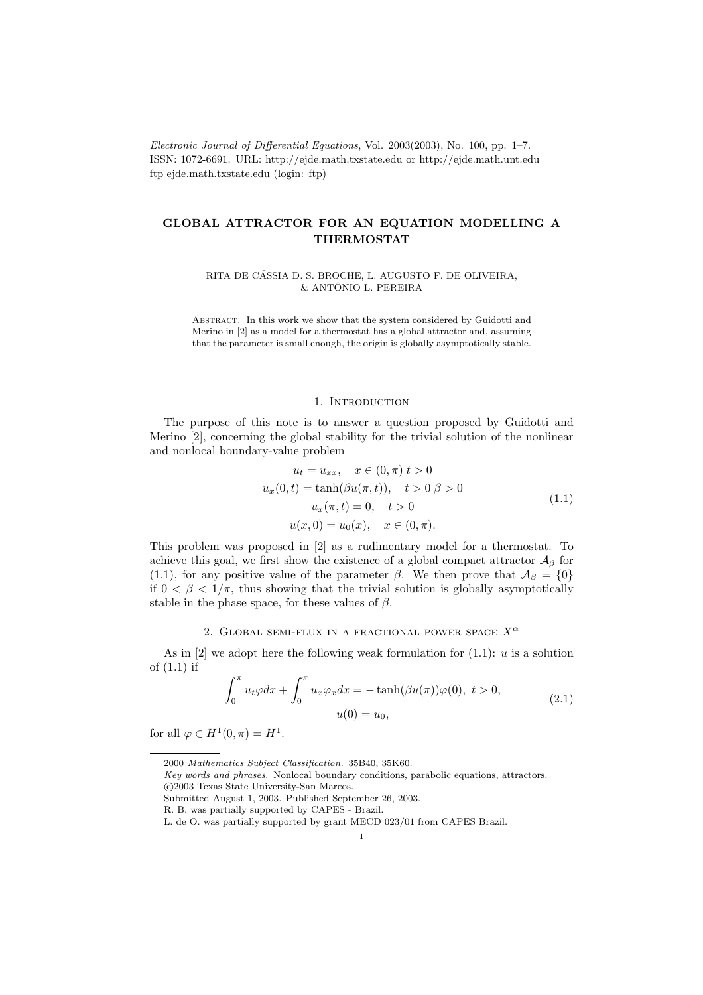Electronic Journal of Differential Equations, Vol. 2003(2003), No. 100, pp. 1–7. ISSN: 1072-6691. URL: http://ejde.math.txstate.edu or http://ejde.math.unt.edu ftp ejde.math.txstate.edu (login: ftp)

# GLOBAL ATTRACTOR FOR AN EQUATION MODELLING A THERMOSTAT

RITA DE CÁSSIA D. S. BROCHE, L. AUGUSTO F. DE OLIVEIRA,  $&$  ANTÔNIO L. PEREIRA

Abstract. In this work we show that the system considered by Guidotti and Merino in [2] as a model for a thermostat has a global attractor and, assuming that the parameter is small enough, the origin is globally asymptotically stable.

#### 1. INTRODUCTION

The purpose of this note is to answer a question proposed by Guidotti and Merino [2], concerning the global stability for the trivial solution of the nonlinear and nonlocal boundary-value problem

$$
u_t = u_{xx}, \quad x \in (0, \pi) \ t > 0
$$
  

$$
u_x(0, t) = \tanh(\beta u(\pi, t)), \quad t > 0 \ \beta > 0
$$
  

$$
u_x(\pi, t) = 0, \quad t > 0
$$
  

$$
u(x, 0) = u_0(x), \quad x \in (0, \pi).
$$
 (1.1)

This problem was proposed in [2] as a rudimentary model for a thermostat. To achieve this goal, we first show the existence of a global compact attractor  $\mathcal{A}_{\beta}$  for (1.1), for any positive value of the parameter  $\beta$ . We then prove that  $\mathcal{A}_{\beta} = \{0\}$ if  $0 < \beta < 1/\pi$ , thus showing that the trivial solution is globally asymptotically stable in the phase space, for these values of  $\beta$ .

## 2. GLOBAL SEMI-FLUX IN A FRACTIONAL POWER SPACE  $X^{\alpha}$

As in  $[2]$  we adopt here the following weak formulation for  $(1.1)$ : u is a solution of (1.1) if

$$
\int_0^\pi u_t \varphi dx + \int_0^\pi u_x \varphi_x dx = -\tanh(\beta u(\pi))\varphi(0), \ t > 0,
$$
  

$$
u(0) = u_0,
$$
 (2.1)

for all  $\varphi \in H^1(0, \pi) = H^1$ .

<sup>2000</sup> Mathematics Subject Classification. 35B40, 35K60.

Key words and phrases. Nonlocal boundary conditions, parabolic equations, attractors. c 2003 Texas State University-San Marcos.

Submitted August 1, 2003. Published September 26, 2003.

R. B. was partially supported by CAPES - Brazil.

L. de O. was partially supported by grant MECD 023/01 from CAPES Brazil.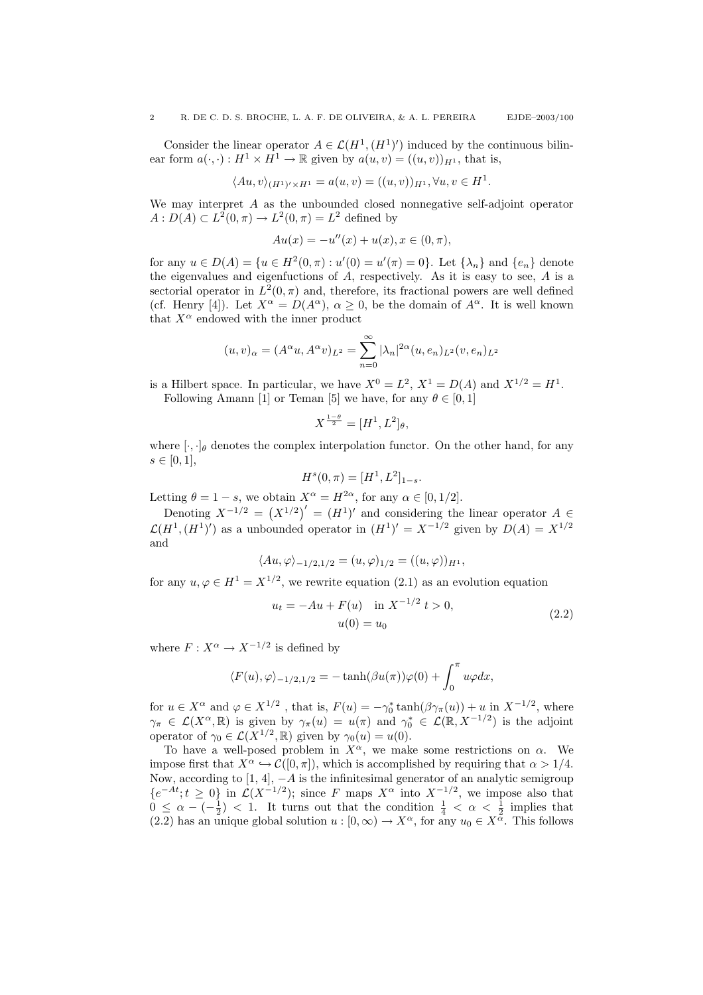Consider the linear operator  $A \in \mathcal{L}(H^1, (H^1)')$  induced by the continuous bilinear form  $a(\cdot, \cdot) : H^1 \times H^1 \to \mathbb{R}$  given by  $a(u, v) = ((u, v))_{H^1}$ , that is,

$$
\langle Au, v \rangle_{(H^1)' \times H^1} = a(u, v) = ((u, v))_{H^1}, \forall u, v \in H^1.
$$

We may interpret  $A$  as the unbounded closed nonnegative self-adjoint operator  $A: D(A) \subset L^2(0, \pi) \to L^2(0, \pi) = L^2$  defined by

$$
Au(x) = -u''(x) + u(x), x \in (0, \pi),
$$

for any  $u \in D(A) = \{u \in H^2(0, \pi) : u'(0) = u'(\pi) = 0\}$ . Let  $\{\lambda_n\}$  and  $\{e_n\}$  denote the eigenvalues and eigenfuctions of A, respectively. As it is easy to see, A is a sectorial operator in  $L^2(0, \pi)$  and, therefore, its fractional powers are well defined (cf. Henry [4]). Let  $X^{\alpha} = D(A^{\alpha})$ ,  $\alpha \geq 0$ , be the domain of  $A^{\alpha}$ . It is well known that  $X^{\alpha}$  endowed with the inner product

$$
(u, v)_{\alpha} = (A^{\alpha}u, A^{\alpha}v)_{L^2} = \sum_{n=0}^{\infty} |\lambda_n|^{2\alpha} (u, e_n)_{L^2} (v, e_n)_{L^2}
$$

is a Hilbert space. In particular, we have  $X^0 = L^2$ ,  $X^1 = D(A)$  and  $X^{1/2} = H^1$ .

Following Amann [1] or Teman [5] we have, for any  $\theta \in [0, 1]$ 

$$
X^{\frac{1-\theta}{2}} = [H^1, L^2]_\theta,
$$

where  $[\cdot, \cdot]_{\theta}$  denotes the complex interpolation functor. On the other hand, for any  $s \in [0, 1],$ 

$$
H^s(0, \pi) = [H^1, L^2]_{1-s}.
$$

Letting  $\theta = 1 - s$ , we obtain  $X^{\alpha} = H^{2\alpha}$ , for any  $\alpha \in [0, 1/2]$ .

Denoting  $X^{-1/2} = (X^{1/2})' = (H^1)'$  and considering the linear operator  $A \in$  $\mathcal{L}(H^1,(H^1)')$  as a unbounded operator in  $(H^1)' = X^{-1/2}$  given by  $D(A) = X^{1/2}$ and

$$
\langle Au, \varphi \rangle_{-1/2, 1/2} = (u, \varphi)_{1/2} = ((u, \varphi))_{H^1},
$$

for any  $u, \varphi \in H^1 = X^{1/2}$ , we rewrite equation (2.1) as an evolution equation

$$
u_t = -Au + F(u) \quad \text{in } X^{-1/2} \ t > 0,
$$
  

$$
u(0) = u_0 \tag{2.2}
$$

where  $F: X^{\alpha} \to X^{-1/2}$  is defined by

$$
\langle F(u), \varphi \rangle_{-1/2, 1/2} = -\tanh(\beta u(\pi))\varphi(0) + \int_0^{\pi} u\varphi dx,
$$

for  $u \in X^{\alpha}$  and  $\varphi \in X^{1/2}$ , that is,  $F(u) = -\gamma_0^* \tanh(\beta \gamma_\pi(u)) + u$  in  $X^{-1/2}$ , where  $\gamma_{\pi} \in \mathcal{L}(X^{\alpha}, \mathbb{R})$  is given by  $\gamma_{\pi}(u) = u(\pi)$  and  $\gamma_0^* \in \mathcal{L}(\mathbb{R}, X^{-1/2})$  is the adjoint operator of  $\gamma_0 \in \mathcal{L}(X^{1/2}, \mathbb{R})$  given by  $\gamma_0(u) = u(0)$ .

To have a well-posed problem in  $X^{\alpha}$ , we make some restrictions on  $\alpha$ . We impose first that  $X^{\alpha} \hookrightarrow \mathcal{C}([0, \pi])$ , which is accomplished by requiring that  $\alpha > 1/4$ . Now, according to  $[1, 4]$ ,  $-A$  is the infinitesimal generator of an analytic semigroup  ${e^{-At}}; t \geq 0$  in  $\mathcal{L}(X^{-1/2})$ ; since F maps  $X^{\alpha}$  into  $X^{-1/2}$ , we impose also that  $0 \leq \alpha - \left(-\frac{1}{2}\right) < 1$ . It turns out that the condition  $\frac{1}{4} < \alpha < \frac{1}{2}$  implies that  $(2.2)$  has an unique global solution  $u : [0, \infty) \to X^{\alpha}$ , for any  $u_0 \in X^{\alpha}$ . This follows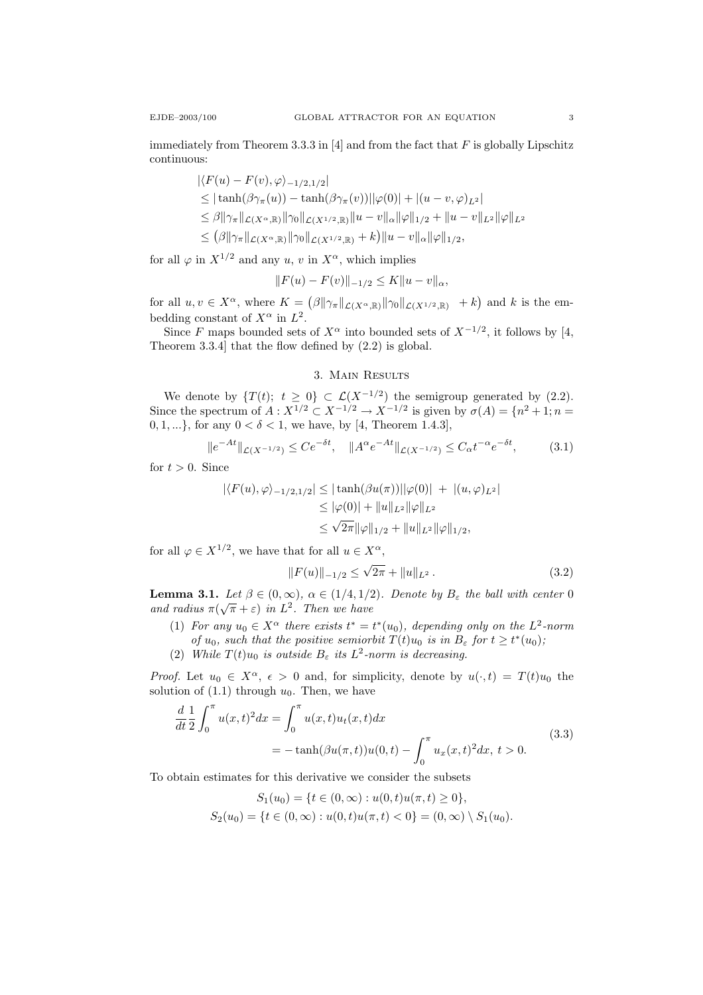immediately from Theorem 3.3.3 in  $[4]$  and from the fact that F is globally Lipschitz continuous:

> $|\langle F(u) - F(v), \varphi \rangle_{-1/2,1/2}|$  $\leq$   $|\tanh(\beta \gamma_{\pi}(u)) - \tanh(\beta \gamma_{\pi}(v))||\varphi(0)| + |(u - v, \varphi)_{L^2}|$  $\leq \beta \|\gamma_{\pi}\|_{\mathcal{L}(X^{\alpha},\mathbb{R})}\|\gamma_{0}\|_{\mathcal{L}(X^{1/2},\mathbb{R})}\|u-v\|_{\alpha}\|\varphi\|_{1/2} + \|u-v\|_{L^{2}}\|\varphi\|_{L^{2}}$  $\leq (\beta || \gamma_{\pi} ||_{\mathcal{L}(X^{\alpha},\mathbb{R})} || \gamma_0 ||_{\mathcal{L}(X^{1/2},\mathbb{R})} + k) ||u - v||_{\alpha} ||\varphi||_{1/2},$

for all  $\varphi$  in  $X^{1/2}$  and any u, v in  $X^{\alpha}$ , which implies

$$
||F(u) - F(v)||_{-1/2} \le K||u - v||_{\alpha},
$$

for all  $u, v \in X^{\alpha}$ , where  $K = (\beta ||\gamma_{\pi}||_{\mathcal{L}(X^{\alpha}, \mathbb{R})} ||\gamma_0||_{\mathcal{L}(X^{1/2}, \mathbb{R})}$  + k) and k is the embedding constant of  $X^{\alpha}$  in  $L^{2}$ .

Since F maps bounded sets of  $X^{\alpha}$  into bounded sets of  $X^{-1/2}$ , it follows by [4, Theorem 3.3.4] that the flow defined by (2.2) is global.

## 3. Main Results

We denote by  $\{T(t); t \geq 0\} \subset \mathcal{L}(X^{-1/2})$  the semigroup generated by (2.2). Since the spectrum of  $A: X^{1/2} \subset X^{-1/2} \to X^{-1/2}$  is given by  $\sigma(A) = \{n^2 + 1 : n = 1\}$  $0, 1, ...\}$ , for any  $0 < \delta < 1$ , we have, by [4, Theorem 1.4.3],

$$
||e^{-At}||_{\mathcal{L}(X^{-1/2})} \le Ce^{-\delta t}, \quad ||A^{\alpha}e^{-At}||_{\mathcal{L}(X^{-1/2})} \le C_{\alpha}t^{-\alpha}e^{-\delta t}, \tag{3.1}
$$

for  $t > 0$ . Since

$$
|\langle F(u), \varphi \rangle_{-1/2, 1/2}| \leq |\tanh(\beta u(\pi))||\varphi(0)| + |(u, \varphi)_{L^2}|
$$
  
\n
$$
\leq |\varphi(0)| + ||u||_{L^2} ||\varphi||_{L^2}
$$
  
\n
$$
\leq \sqrt{2\pi} ||\varphi||_{1/2} + ||u||_{L^2} ||\varphi||_{1/2},
$$

for all  $\varphi \in X^{1/2}$ , we have that for all  $u \in X^{\alpha}$ ,

$$
||F(u)||_{-1/2} \le \sqrt{2\pi} + ||u||_{L^2}.
$$
 (3.2)

**Lemma 3.1.** Let  $\beta \in (0,\infty)$ ,  $\alpha \in (1/4,1/2)$ . Denote by  $B_{\varepsilon}$  the ball with center 0 and radius  $\pi(\sqrt{\pi} + \varepsilon)$  in  $L^2$ . Then we have

- (1) For any  $u_0 \in X^{\alpha}$  there exists  $t^* = t^*(u_0)$ , depending only on the  $L^2$ -norm of  $u_0$ , such that the positive semiorbit  $T(t)u_0$  is in  $B_\varepsilon$  for  $t \geq t^*(u_0)$ ;
- (2) While  $T(t)u_0$  is outside  $B_\varepsilon$  its  $L^2$ -norm is decreasing.

*Proof.* Let  $u_0 \in X^{\alpha}$ ,  $\epsilon > 0$  and, for simplicity, denote by  $u(\cdot, t) = T(t)u_0$  the solution of  $(1.1)$  through  $u_0$ . Then, we have

$$
\frac{d}{dt}\frac{1}{2}\int_0^\pi u(x,t)^2 dx = \int_0^\pi u(x,t)u_t(x,t)dx
$$
\n
$$
= -\tanh(\beta u(\pi,t))u(0,t) - \int_0^\pi u_x(x,t)^2 dx, \ t > 0.
$$
\n(3.3)

To obtain estimates for this derivative we consider the subsets

$$
S_1(u_0) = \{t \in (0, \infty) : u(0, t)u(\pi, t) \ge 0\},\
$$
  

$$
S_2(u_0) = \{t \in (0, \infty) : u(0, t)u(\pi, t) < 0\} = (0, \infty) \setminus S_1(u_0).
$$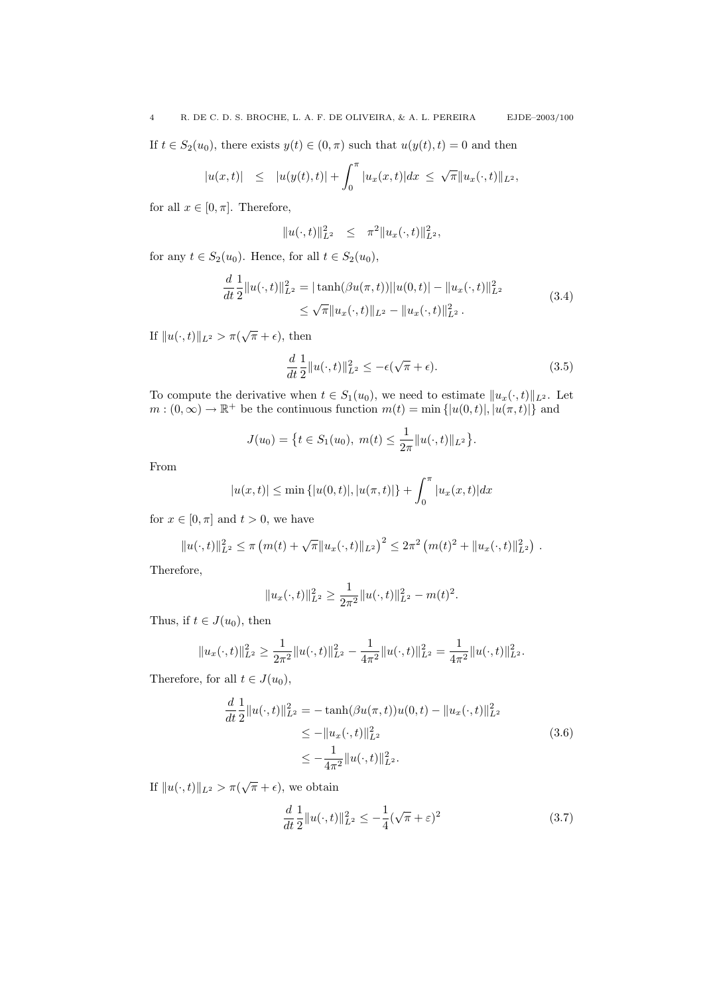If  $t \in S_2(u_0)$ , there exists  $y(t) \in (0, \pi)$  such that  $u(y(t), t) = 0$  and then

$$
|u(x,t)| \leq |u(y(t),t)| + \int_0^{\pi} |u_x(x,t)| dx \leq \sqrt{\pi} ||u_x(\cdot,t)||_{L^2},
$$

for all  $x \in [0, \pi]$ . Therefore,

$$
||u(\cdot,t)||_{L^2}^2 \leq \pi^2 ||u_x(\cdot,t)||_{L^2}^2,
$$

for any  $t \in S_2(u_0)$ . Hence, for all  $t \in S_2(u_0)$ ,

$$
\frac{d}{dt}\frac{1}{2}||u(\cdot,t)||_{L^2}^2 = |\tanh(\beta u(\pi,t))||u(0,t)| - ||u_x(\cdot,t)||_{L^2}^2
$$
\n
$$
\leq \sqrt{\pi}||u_x(\cdot,t)||_{L^2} - ||u_x(\cdot,t)||_{L^2}^2.
$$
\n(3.4)

If  $||u(\cdot, t)||_{L^2} > \pi(\sqrt{\pi} + \epsilon)$ , then

$$
\frac{d}{dt}\frac{1}{2}||u(\cdot,t)||_{L^2}^2 \le -\epsilon(\sqrt{\pi} + \epsilon).
$$
\n(3.5)

To compute the derivative when  $t \in S_1(u_0)$ , we need to estimate  $||u_x(\cdot, t)||_{L^2}$ . Let  $m:(0,\infty)\to\mathbb{R}^+$  be the continuous function  $m(t) = \min\{|u(0,t)|, |u(\pi,t)|\}$  and

$$
J(u_0) = \left\{ t \in S_1(u_0), \ m(t) \le \frac{1}{2\pi} ||u(\cdot, t)||_{L^2} \right\}.
$$

From

$$
|u(x,t)| \le \min\{|u(0,t)|, |u(\pi,t)|\} + \int_0^{\pi} |u_x(x,t)| dx
$$

for  $x \in [0, \pi]$  and  $t > 0$ , we have

$$
||u(\cdot,t)||_{L^2}^2 \leq \pi \left( m(t) + \sqrt{\pi} ||u_x(\cdot,t)||_{L^2} \right)^2 \leq 2\pi^2 \left( m(t)^2 + ||u_x(\cdot,t)||_{L^2}^2 \right).
$$

Therefore,

$$
||u_x(\cdot,t)||_{L^2}^2 \ge \frac{1}{2\pi^2}||u(\cdot,t)||_{L^2}^2 - m(t)^2.
$$

Thus, if  $t \in J(u_0)$ , then

$$
||u_x(\cdot,t)||_{L^2}^2 \ge \frac{1}{2\pi^2}||u(\cdot,t)||_{L^2}^2 - \frac{1}{4\pi^2}||u(\cdot,t)||_{L^2}^2 = \frac{1}{4\pi^2}||u(\cdot,t)||_{L^2}^2.
$$

Therefore, for all  $t \in J(u_0)$ ,

$$
\frac{d}{dt}\frac{1}{2}||u(\cdot,t)||_{L^2}^2 = -\tanh(\beta u(\pi,t))u(0,t) - ||u_x(\cdot,t)||_{L^2}^2
$$
\n
$$
\le -||u_x(\cdot,t)||_{L^2}^2
$$
\n
$$
\le -\frac{1}{4\pi^2}||u(\cdot,t)||_{L^2}^2.
$$
\n(3.6)

If  $||u(\cdot, t)||_{L^2} > \pi(\sqrt{\pi} + \epsilon)$ , we obtain

$$
\frac{d}{dt}\frac{1}{2}||u(\cdot,t)||_{L^{2}}^{2} \le -\frac{1}{4}(\sqrt{\pi}+\varepsilon)^{2}
$$
\n(3.7)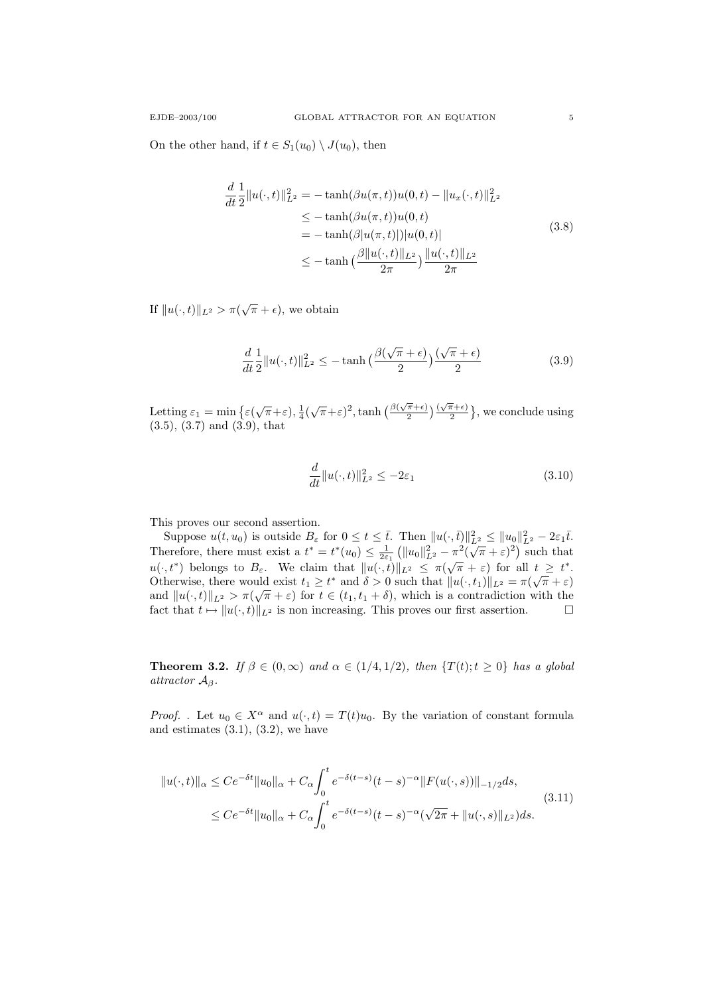On the other hand, if  $t \in S_1(u_0) \setminus J(u_0)$ , then

$$
\frac{d}{dt} \frac{1}{2} ||u(\cdot, t)||_{L^2}^2 = -\tanh(\beta u(\pi, t))u(0, t) - ||u_x(\cdot, t)||_{L^2}^2
$$
\n
$$
\le -\tanh(\beta u(\pi, t))u(0, t)
$$
\n
$$
= -\tanh(\beta |u(\pi, t)||)u(0, t)|
$$
\n
$$
\le -\tanh\left(\frac{\beta ||u(\cdot, t)||_{L^2}}{2\pi}\right) \frac{||u(\cdot, t)||_{L^2}}{2\pi}
$$
\n(3.8)

If  $||u(\cdot, t)||_{L^2} > \pi(\sqrt{\pi} + \epsilon)$ , we obtain

$$
\frac{d}{dt}\frac{1}{2}||u(\cdot,t)||_{L^2}^2 \le -\tanh\left(\frac{\beta(\sqrt{\pi}+\epsilon)}{2}\right)\frac{(\sqrt{\pi}+\epsilon)}{2}
$$
\n(3.9)

Letting  $\varepsilon_1 = \min \left\{ \varepsilon \left( \sqrt{\pi} + \varepsilon \right), \frac{1}{4} \left( \sqrt{\pi} + \varepsilon \right)^2, \tanh \left( \frac{\beta \left( \sqrt{\pi} + \varepsilon \right)}{2} \right) \right\}$  $\left(\frac{\pi}{2}+\epsilon\right)\left(\frac{\sqrt{\pi}}{2}\right)$  $\frac{\pi+\epsilon}{2}$ , we conclude using  $(3.5), (3.7)$  and  $(3.9),$  that

$$
\frac{d}{dt}||u(\cdot,t)||_{L^2}^2 \le -2\varepsilon_1\tag{3.10}
$$

This proves our second assertion.

Suppose  $u(t, u_0)$  is outside  $B_{\varepsilon}$  for  $0 \le t \le \overline{t}$ . Then  $||u(\cdot, \overline{t})||_{L^2}^2 \le ||u_0||_{L^2}^2 - 2\varepsilon_1\overline{t}$ . Suppose  $u(t, u_0)$  is outside  $D_{\varepsilon}$  for  $0 \le t \le t$ . Then  $||u(t, v)||_{L^2} \le ||u_0||_{L^2}^2 - 2\varepsilon_1 t$ .<br>Therefore, there must exist a  $t^* = t^*(u_0) \le \frac{1}{2\varepsilon_1} (||u_0||_{L^2}^2 - \pi^2(\sqrt{\pi} + \varepsilon)^2)$  such that Therefore, there made exist  $u \mapsto v$  (ωσ)  $\frac{1}{2}$   $\frac{1}{2}$  {||ωσ||[<sub>2</sub> × (v<sup>n</sup> + ε) for all t ≥ t<sup>\*</sup>. Otherwise, there would exist  $t_1 \ge t^*$  and  $\delta > 0$  such that  $||u(\cdot, t_1)||_{L^2} = \pi(\sqrt{\pi} + \varepsilon)$ and  $||u(\cdot,t)||_{L^2} > \pi(\sqrt{\pi} + \varepsilon)$  for  $t \in (t_1, t_1 + \delta)$ , which is a contradiction with the fact that  $t \mapsto ||u(\cdot, t)||_{L^2}$  is non increasing. This proves our first assertion.  $\square$ 

**Theorem 3.2.** If  $\beta \in (0,\infty)$  and  $\alpha \in (1/4,1/2)$ , then  $\{T(t); t \geq 0\}$  has a global attractor  $A_\beta$ .

*Proof.* . Let  $u_0 \in X^{\alpha}$  and  $u(\cdot, t) = T(t)u_0$ . By the variation of constant formula and estimates  $(3.1)$ ,  $(3.2)$ , we have

$$
||u(\cdot,t)||_{\alpha} \le Ce^{-\delta t}||u_0||_{\alpha} + C_{\alpha} \int_0^t e^{-\delta(t-s)}(t-s)^{-\alpha} ||F(u(\cdot,s))||_{-1/2} ds,
$$
  
\n
$$
\le Ce^{-\delta t}||u_0||_{\alpha} + C_{\alpha} \int_0^t e^{-\delta(t-s)}(t-s)^{-\alpha} (\sqrt{2\pi} + ||u(\cdot,s)||_{L^2}) ds.
$$
\n(3.11)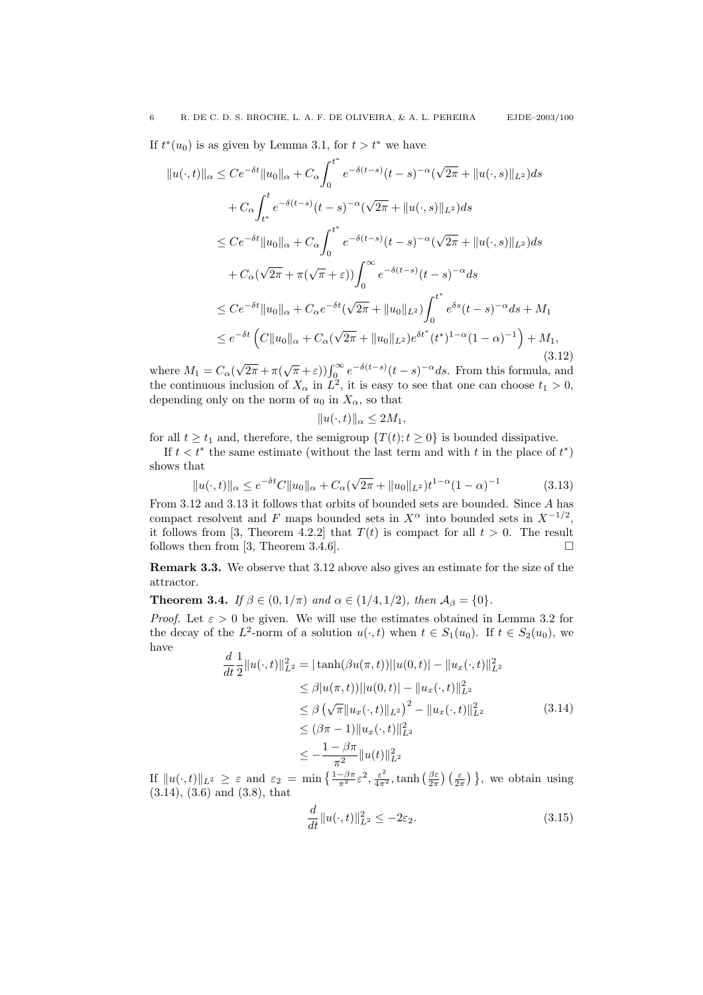If  $t^*(u_0)$  is as given by Lemma 3.1, for  $t > t^*$  we have

$$
||u(\cdot,t)||_{\alpha} \le Ce^{-\delta t}||u_0||_{\alpha} + C_{\alpha} \int_0^{t^*} e^{-\delta(t-s)}(t-s)^{-\alpha}(\sqrt{2\pi} + ||u(\cdot,s)||_{L^2})ds
$$
  
+  $C_{\alpha} \int_{t^*}^t e^{-\delta(t-s)}(t-s)^{-\alpha}(\sqrt{2\pi} + ||u(\cdot,s)||_{L^2})ds$   
 $\le Ce^{-\delta t}||u_0||_{\alpha} + C_{\alpha} \int_0^{t^*} e^{-\delta(t-s)}(t-s)^{-\alpha}(\sqrt{2\pi} + ||u(\cdot,s)||_{L^2})ds$   
+  $C_{\alpha}(\sqrt{2\pi} + \pi(\sqrt{\pi} + \varepsilon)) \int_0^{\infty} e^{-\delta(t-s)}(t-s)^{-\alpha}ds$   
 $\le Ce^{-\delta t}||u_0||_{\alpha} + C_{\alpha}e^{-\delta t}(\sqrt{2\pi} + ||u_0||_{L^2}) \int_0^{t^*} e^{\delta s}(t-s)^{-\alpha}ds + M_1$   
 $\le e^{-\delta t} (C||u_0||_{\alpha} + C_{\alpha}(\sqrt{2\pi} + ||u_0||_{L^2})e^{\delta t^*}(t^*)^{1-\alpha}(1-\alpha)^{-1}) + M_1,$   
(3.12)

where  $M_1 = C_\alpha$ √  $\sqrt{2\pi} + \pi(\sqrt{\pi} + \varepsilon)$ ) $\int_0^\infty e^{-\delta(t-s)}(t-s)^{-\alpha}ds$ . From this formula, and the continuous inclusion of  $X_{\alpha}$  in  $L^2$ , it is easy to see that one can choose  $t_1 > 0$ , depending only on the norm of  $u_0$  in  $X_\alpha$ , so that

$$
||u(\cdot,t)||_{\alpha} \le 2M_1,
$$

for all  $t \geq t_1$  and, therefore, the semigroup  $\{T(t); t \geq 0\}$  is bounded dissipative.

If  $t < t^*$  the same estimate (without the last term and with t in the place of  $t^*$ ) shows that √

$$
||u(\cdot,t)||_{\alpha} \le e^{-\delta t} C ||u_0||_{\alpha} + C_{\alpha} (\sqrt{2\pi} + ||u_0||_{L^2}) t^{1-\alpha} (1-\alpha)^{-1}
$$
(3.13)

From 3.12 and 3.13 it follows that orbits of bounded sets are bounded. Since A has compact resolvent and F maps bounded sets in  $X^{\alpha}$  into bounded sets in  $X^{-1/2}$ , it follows from [3, Theorem 4.2.2] that  $T(t)$  is compact for all  $t > 0$ . The result follows then from [3, Theorem 3.4.6].

Remark 3.3. We observe that 3.12 above also gives an estimate for the size of the attractor.

**Theorem 3.4.** If  $\beta \in (0, 1/\pi)$  and  $\alpha \in (1/4, 1/2)$ , then  $\mathcal{A}_{\beta} = \{0\}$ .

*Proof.* Let  $\varepsilon > 0$  be given. We will use the estimates obtained in Lemma 3.2 for the decay of the L<sup>2</sup>-norm of a solution  $u(\cdot, t)$  when  $t \in S_1(u_0)$ . If  $t \in S_2(u_0)$ , we have

$$
\frac{d}{dt} \frac{1}{2} ||u(\cdot, t)||_{L^2}^2 = |\tanh(\beta u(\pi, t))||u(0, t)| - ||u_x(\cdot, t)||_{L^2}^2
$$
\n
$$
\leq \beta |u(\pi, t))||u(0, t)| - ||u_x(\cdot, t)||_{L^2}^2
$$
\n
$$
\leq \beta (\sqrt{\pi} ||u_x(\cdot, t)||_{L^2})^2 - ||u_x(\cdot, t)||_{L^2}^2
$$
\n
$$
\leq (\beta \pi - 1) ||u_x(\cdot, t)||_{L^2}^2
$$
\n
$$
\leq -\frac{1 - \beta \pi}{\pi^2} ||u(t)||_{L^2}^2
$$
\n(3.14)

If  $||u(\cdot, t)||_{L^2} \geq \varepsilon$  and  $\varepsilon_2 = \min\left\{\frac{1-\beta\pi}{\pi^2}\varepsilon^2, \frac{\varepsilon^2}{4\pi^2}, \tanh\left(\frac{\beta\varepsilon}{2\pi}\right)\left(\frac{\varepsilon}{2\pi}\right)\right\}$ , we obtain using (3.14), (3.6) and (3.8), that

$$
\frac{d}{dt}||u(\cdot,t)||_{L^2}^2 \le -2\varepsilon_2. \tag{3.15}
$$